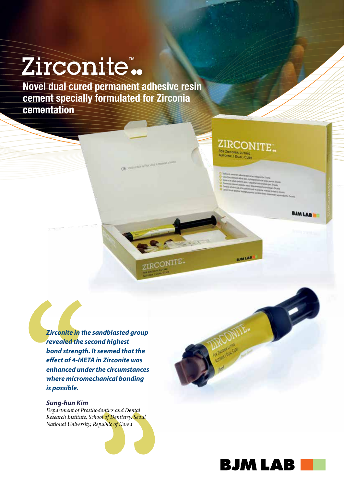# Zirconite™

Novel dual cured permanent adhesive resin cement specially formulated for Zirconia cementation

**CBL** 

ZIRCONITE.

## ZIRCONITE. FOR ZIRCOMA LUTING

**BJMLAB** 

- 
- -

**BJMLAB** 

**BJM LAB** 

*Zirconite in the sandblasted group revealed the second highest bond strength. It seemed that the effect of 4-META in Zirconite was enhanced under the circumstances where micromechanical bonding is possible.* 

### *Sung-hun Kim*

*Department of Prosthodontics and Dental Research Institute, School of Dentistry, Seoul National University, Republic of Korea*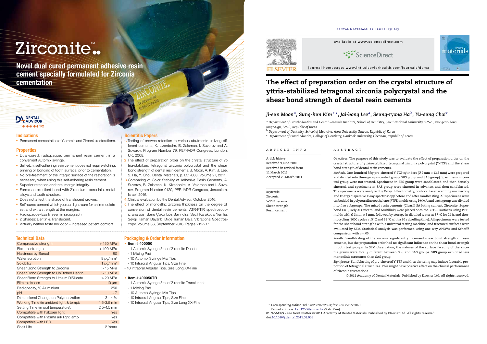# Zirconite™

Novel dual cured permanent adhesive resin cement specially formulated for Zirconia cementation

• Permanent cementation of Ceramic and Zirconia restorations.

#### **Properties**

- Dual-cured, radiopaque, permanent resin cement in a convenient Automix syringe.
- Self-etch, self-adhering resin cement does not require etching, priming or bonding of tooth surface, prior to cementation.
- No pre-treatment of the intaglio surface of the restoration is necessary when using this self-adhering resin cement.
- Superior retention and total margin integrity.
- Forms an excellent bond with Zirconium, porcelain, metal alloys and tooth structure.
- Does not affect the shade of translucent crowns.
- Self-cured cement which you can light-cure for an immediate set and extra strength at the margins.
- Radiopaque–Easily seen in radiograph.
- 2 Shades: Dentin & Translucent.
- Virtually neither taste nor odor Increased patient comfort.

#### Scientific Papers

- 1. Testing of crowns retention to various abutments utilizing different cements, K. Lizenboim, B. Zalsman, I. Suvorov and A. Suvorov, Program Number 79, PEF-IADR Congress, London, UK, 2008.
- 2. The effect of preparation order on the crystal structure of yttria-stabilized tetragonal zirconia polycrystal and the shear bond strength of dental resin cements, J. Moon, A. Kim, J. Lee, S. Ha, Y. Choi, Dental Materials, p. 651-663, Volume 27, 2011.
- **3.**Comparing of Color Stability of Adhesive Resin Cements, A. Suvorov, B. Zalsman, K. Kizenboim, A. Valdman and I. Suvorov, Program Number 0120, PER-IADR Congress, Jerusalem, Israel, 2016.
- 4. Clinical evaluation by the Dental Advisor, October 2016.
- **5.** The effect of monolithic zirconia thickness on the degree of conversion of dental resin cements: ATR-FTIR spectroscopic analysis, Banu Çukurluöz Bayındıra, Secil Karakoca Nemlia, Sevgi Haman Bayarıb, Bilge Turhan Bala, Vibrational Spectroscopy, Volume 86, September 2016, Pages 212-217.

#### Technical Data

| Compressive strength                      | > 150 MPa       |
|-------------------------------------------|-----------------|
| Flexural strength                         | > 100 MPa       |
| <b>Hardness by Barcol</b>                 | 80              |
| Water sorption                            | $8 \mu g/mm3$   |
| Solubility                                | 1 $\mu q/mm^3$  |
| Shear Bond Strength to Zirconia           | $>15$ MPa       |
| Shear Bond Strength to UnEtched Dentin    | $>10$ MPa       |
| Shear Bond Strength to Lithium DiSilicate | > 20 MPa        |
| <b>Film thickness</b>                     | $10 \mu m$      |
| Radiopacity, % Aluminium                  | 250             |
| pH                                        | $~\sim$ 7       |
| Dimensional Change on Polymerization      | $3 - 4 %$       |
| Working Time (in ambient light & temp):   | $1.5 - 3.5$ min |
| Setting Time (in oral temperature):       | $2.5 - 4.5$ min |
| Compatible with halogen light             | Yes             |
| Compatible with Plasma ark light lamp     | Yes             |
| Compatible with LED                       | Yes             |
| <b>Shelf Life</b>                         | 2 Years         |

#### Packaging & Order Information

#### • Item # 400050

*Methods.* One-hundred fifty pre-sintered Y-TZP cylinders ( $\emptyset$  9 mm  $\times$  13.5 mm) were prepared and divided into three groups (control group, SBS group and SAS group). Specimens in control group were not treated. Specimens in SBS group were sandblasted and then densely sintered, and specimens in SAS group were sintered in advance, and then sandblasted. The specimens were analyzed by X-ray diffractometry, confocal laser scanning microscopy and Energy dispersive X-ray spectroscopy before and after sandblasting. All specimens were embedded in polytetrafluoroethylene (PTFE) molds using PMMA and each group was divided into five subgroups. The mixed resin cements (Clearfil SA luting cement, Zirconite, Superbond C&B, Rely-X Unicem, and Multilink) were placed onto the Y-TZP surfaces using PTFE molds with Ø 3 mm × 3 mm, followed by storage in distilled water at 37 ℃ for 24 h, and thermocycling (5000 cycles at 5 ◦C and 55 ◦C with a 30 s dwelling time). All specimens were tested for the shear bond strengths with a universal testing machine, and fractured surfaces were evaluated by SEM. Statistical analysis was performed using one-way ANOVA and Scheffé

- 1 Automix Syringe 5ml of Zirconite Dentin
- 1 Mixing Pad
- 10 Automix Syringe Mix Tips
- 10 Intraoral Angular Tips, Size Fine
- 10 Intraoral Angular Tips, Size Long XX-Fine

#### • Item # 400050TR

- 1 Automix Syringe 5ml of Zirconite Translucent
- 1 Mixing Pad
- 10 Automix Syringe Mix Tips
- 10 Intraoral Angular Tips, Size Fine
- 10 Intraoral Angular Tips, Size Long XX-Fine





#### **Indications**

available at www.sciencedirect.com



journal homepage: www.intl.elsevierhealth.com/journals/dema

## The effect of preparation order on the crystal structure of yttria-stabilized tetragonal zirconia polycrystal and the shear bond strength of dental resin cements

## *Ji-eun Moona, Sung-hun Kima*,∗*, Jai-bong Lee a, Seung-ryong Hab, Yu-sung Choi <sup>c</sup>*

<sup>a</sup> *Department of Prosthodontics and Dental Research Institute, School of Dentistry, Seoul National University, 275-1, Yeongeon-dong, Jongno-gu, Seoul, Republic of Korea*

<sup>b</sup> *Department of Dentistry, School of Medicine, Ajou University, Suwon, Republic of Korea*

<sup>c</sup> *Department of Prosthodontics, College of Dentistry, Dankook University, Cheonan, Republic of Korea*

### article info

# **ABSTRACT**

*Article history:* Received 9 June 2010 Received in revised form 11 March 2011 Accepted 28 March 2011

*Keywords:* Zirconia Y-TZP ceramic Shear strength Resin cement

*Objectives.* The purpose of this study was to evaluate the effect of preparation order on the crystal structure of yttria-stabilized tetragonal zirconia polycrystal (Y-TZP) and the shear

bond strength of dental resin cements. comparison with  $\alpha = .05$ . monoclinic structures than SAS group. of zirconia restorations.

*Results.* Sandblasting of the zirconia significantly increased shear bond strength of resin cements, but the preparation order had no significant influence on the shear bond strength in both test groups. In SEM observation, the natures of the surface faceting of the zirconia grains were totally different between SBS and SAS groups. SBS group exhibited less

*Significance.* Sandblasting of pre-sintered Y-TZP and then sintering may induce favorable proportion of tetragonal structures. This might have positive effect on the clinical performance

© 2011 Academy of Dental Materials. Published by Elsevier Ltd. All rights reserved.

<sup>∗</sup> *Corresponding author*. Tel.: +82 220722664; fax: +82 220723860. E-mail address: ksh1250@snu.ac.kr (S.-h. Kim). 0109-5641/\$ – see front matter © 2011 Academy of Dental Materials. Published by Elsevier Ltd. All rights reserved. doi:10.1016/j.dental.2011.03.005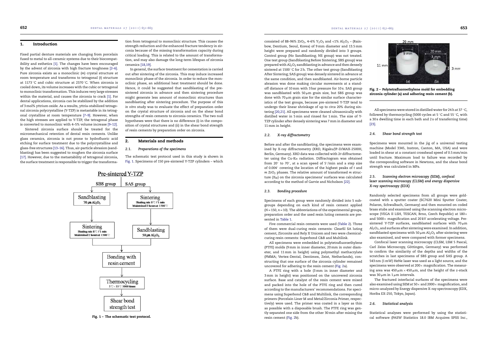#### 1. Introduction

Fixed partial denture materials are changing from porcelain fused to metal to all-ceramic systems due to their biocompatibility and esthetics [1]. The changes have been encouraged by the advent of zirconia with high fracture toughness [2–6]. Pure zirconia exists as a monoclinic (*m*) crystal structure at room temperature and transforms to tetragonal (*t*) structure at 1173  $\degree$ C and cubic structure at 2370  $\degree$ C. When zirconia is cooled down, its volume increases with the cubic or tetragonal to monoclinic transformation. This induces very large stresses within the material, and causes the zirconia to crack [1]. For dental applications, zirconia can be stabilized by the addition of 3 mol% yttrium oxide. As a results, yttria-stabilized tetragonal zirconia polycrystalline (Y-TZP) is metastable in its tetragonal crystalline at room temperature [7–9]. However, when the high stresses are applied to Y-TZP, the tetragonal phase is converted to monoclinic with 4–5% volume increase [9–12].

Sintered zirconia surface should be treated for the micromechanical retention of dental resin cements. Unlike glass ceramics, zirconia is not prone to hydrofluoric acid etching for surface treatment due to the polycrystalline and glass-free structures [13–16]. Thus, air-particle abrasion (sandblasting) has been suggested to roughen the zirconia surface [17]. However, due to the metastability of tetragonal zirconia, the surface treatment is responsible to trigger the transforma-



Fig. 1 – The schematic test protocol.

tion from tetragonal to monoclinic structure. This causes the strength reduction and the enhanced fracture tendency in zirconia because of the missing transformation capacity during critical loading. This is related to the amount of transformation, and may also damage the long-term lifespan of zirconia ceramics [18,19].

consisted of 88–96% ZrO<sub>2</sub>, 4–6% Y<sub>2</sub>O<sub>3</sub> and <1% Al<sub>2</sub>O<sub>3</sub> – (Rainbow, Dentium, Seoul, Korea) of 9 mm diameter and 13.5 mm height were prepared and randomly divided into 3 groups. Control group (No Sandblasting; NS group) was not treated. One test group (Sandblasting Before Sintering; SBS group) was prepared with Al<sub>2</sub>O<sub>3</sub> sandblasting in advance and then densely sintered at 1500 ℃ for 2 h. The other test group (Sandblasting After Sintering; SAS group) was densely sintered in advance at the same condition, and then sandblasted. Air-borne particle abrasion was done making circular movements at a standoff distance of 10 mm with 3 bar pressure for 10 s. SAS group was sandblasted with  $50 \mu m$  grain size, but SBS group was done with  $70 \mu m$  grain size for the similar surface characteristics of the test groups, because pre-sintered Y-TZP tend to undergo their linear shrinkage of up to *circa* 20% during sintering [20,21]. All specimens were cleaned ultrasonically with distilled water in 5 min and rinsed for 1 min. The size of Y-TZP cylinder after densely sintering was 7 mm in diameter and 11 mm in height.

In general, the surface treatment for cementation is carried out after sintering of the zirconia. This may induce increased monoclinic phase of the zirconia. In order to reduce the monoclinic phase, an additional heat treatment should be done. Hence, it could be suggested that sandblasting of the presintered zirconia in advance and then sintering procedure might generate less amount of monoclinic structures than sandblasting after sintering procedure. The purpose of this *in vitro* study was to evaluate the effect of preparation order on the crystal structure of zirconia and on the shear bond strengths of resin cements to zirconia ceramics. The two null hypotheses were that there is no difference (i) in the composition of crystal structures and (ii) in the shear bond strength of resin cements by preparation order on zirconia.

#### 2. Materials and methods

#### *2.1. Preparations of the specimens*

The schematic test protocol used in this study is shown in Fig. 1. Specimens of 150 pre-sintered Y-TZP cylinders – which

> Confocal laser scanning microscopy (CLSM, LSM 5 Pascal, Carl Zeiss Microscopy, Göttingen, Germany) was performed to confirm the similarity of the depths and widths of the scratches in last specimens of SBS group and SAS group. A 543 nm (1 mW) HeNe laser was used as a light source, and the specimens were observed at  $200 \times$  magnification. The measuring area was  $450 \mu m \times 450 \mu m$ , and the height of the *z*-stack was  $30 \mu m$  in  $1 \mu m$  intervals.

#### *2.2. X-ray diffractometry*

Before and after the sandblasting, the specimens were examined by X-ray diffractometry (XRD, Rigaku/JP-D/MAX-2500H, Berlin, Germany). XRD data was collected with  $2\theta$  diffractometer using the  $Cu-K\alpha$  radiation. Diffractogram was obtained from 20 $\degree$  to 70 $\degree$ , at a scan speed of 5 $\degree$ /min and a step size of 0.004◦ covering the location of the highest peaks of *t* and *m* ZrO<sub>2</sub> phases. The relative amount of transformed *m* structure  $(X_M)$  on the zirconia specimens' surfaces was calculated according to the method of Garvie and Nicholson [22].

#### *2.3. Bonding procedure*

Specimens of each group were randomly divided into 5 subgroups depending on each kind of resin cement applied (*N* = 150, *n* = 10). The abbreviations of the experimental groups, preparation order and the used resin luting cements are presented in Table 1.

Five commercial resin cements were used (Table 2). Three of them were dual-curing resin cements: Clearfil SA luting cement, Zirconite and Rely X Unicem and two were chemicalcuring resin cements: Superbond C&B and Multilink.

All specimens were embedded in polytetrafluoroethylene (PTFE) molds (9 mm in inner diameter, 20 mm in outer diameter, and 11 mm in height) using polymethyl methacrylate (PMMA; Vertex-Dental, Dentimex, Zeist, Netherlands), constructing that one surface of the zirconia cylinder remained uncovered for adhering to the resin cement (Fig. 2a).

A PTFE ring with a hole (3 mm in inner diameter and 3 mm in height) was positioned on the uncovered zirconia surface. Base and catalyst of the resin cement were mixed and packed into the hole of the PTFE ring and then cured according to the manufacturers' recommendations. For specimens using Superbond C&B and Multilink, the corresponding primers (Porcelain Liner M and Metal/Zirconia Primer, respectively) were used. The primer was coated in a layer as thin as possible with a disposable brush. The PTFE ring was gently separated one side from the other 30 min after mixing the resin cement (Fig. 2b).





All specimens were stored in distilled water for 24 h at 37 ◦C, followed by thermocycling (5000 cycles at 5  $\degree$ C and 55  $\degree$ C, with a 30 s dwelling time in each bath and 2 s of transferring time) [23].

#### *2.4. Shear bond strength test*

Specimens were mounted in the jig of a universal testing machine (Model 3345, Instron, Canton, MA, USA) and were loaded in shear at a constant crosshead speed of 0.5 mm/min until fracture. Maximum load to failure was recorded by the corresponding software in Newtons, and the shear bond strength was calculated in MPa.

#### *2.5. Scanning electron microscopy (SEM), confocal laser scanning microscopy (CLSM) and energy dispersive X-ray spectroscopy (EDX)*

Randomly selected specimens from all groups were goldcoated with a sputter coater (SC7620 Mini Sputter Coater, Polaron, Schwalbach, Germany) and then mounted on coded brass stubs and examined using the scanning electron microscope (VEGA II LSH, TESCAN, Brno, Czech Republic) at 180× and  $5000\times$  magnification and 20 kV accelerating voltage. Presintered Y-TZP surfaces, sandblasted surfaces with  $70 \mu m$  $Al_2O_3$ , and surfaces after sintering were examined. In addition, sandblasted specimens with 50  $\mu$ m Al<sub>2</sub>O<sub>3</sub> after sintering were also examined, and were compared with former specimens.

The fractured interfacial surfaces of the specimens were also examined using SEM at 50 $\times$  and 2000 $\times$  magnification, and micro-analyzed by Energy dispersive X-ray spectroscopy (EDX, Horiba EX-250, Tokyo, Japan).

#### *2.6. Statistical analysis*

Statistical analyses were performed by using the statistical software (PASW Statistics 18.0 IBM Acquires SPSS Inc.,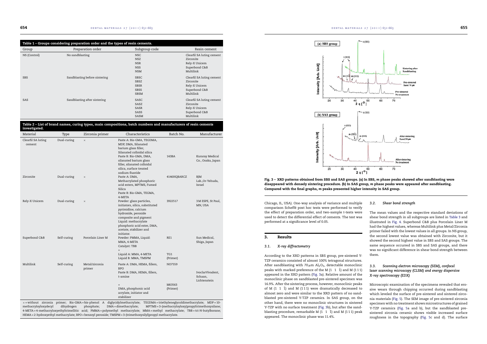| Table 1 - Groups considering preparation order and the types of resin cements. |                               |               |                           |  |  |
|--------------------------------------------------------------------------------|-------------------------------|---------------|---------------------------|--|--|
| Group                                                                          | Preparation order             | Subgroup code | Resin cement              |  |  |
| NS (Control)                                                                   | No sandblasting               | <b>NSC</b>    | Clearfil SA luting cement |  |  |
|                                                                                |                               | <b>NSZ</b>    | Zirconite                 |  |  |
|                                                                                |                               | <b>NSR</b>    | Rely-X Unicem             |  |  |
|                                                                                |                               | <b>NSS</b>    | Superbond C&B             |  |  |
|                                                                                |                               | <b>NSM</b>    | Multilink                 |  |  |
| <b>SBS</b>                                                                     | Sandblasting before sintering | <b>SBSC</b>   | Clearfil SA luting cement |  |  |
|                                                                                |                               | <b>SBSZ</b>   | Zirconite                 |  |  |
|                                                                                |                               | <b>SBSR</b>   | Rely-X Unicem             |  |  |
|                                                                                |                               | <b>SBSS</b>   | Superbond C&B             |  |  |
|                                                                                |                               | <b>SBSM</b>   | Multilink                 |  |  |
| <b>SAS</b>                                                                     | Sandblasting after sintering  | SASC          | Clearfil SA luting cement |  |  |
|                                                                                |                               | SASZ          | Zirconite                 |  |  |
|                                                                                |                               | <b>SASR</b>   | Rely-X Unicem             |  |  |
|                                                                                |                               | SASS          | Superbond C&B             |  |  |
|                                                                                |                               | <b>SASM</b>   | Multilink                 |  |  |



| Material                     | Type        | Zirconia primer          | Characteristics                                                                                                                                                                                                                    | Batch No.          | Manufacturer                         |
|------------------------------|-------------|--------------------------|------------------------------------------------------------------------------------------------------------------------------------------------------------------------------------------------------------------------------------|--------------------|--------------------------------------|
| Clearfil SA luting<br>cement | Dual-curing | $\times$                 | Paste A: Bis-GMA, TEGDMA,<br>MDP, DMA, Silanated<br>barium glass filler,<br>Silanated colloidal silica<br>Paste B: Bis-GMA, DMA,<br>silanated barium glass<br>filler, silanated colloidal                                          | 143BA              | Kuraray Medical<br>Co., Osaka, Japan |
|                              |             |                          | silica, surface treated<br>sodium fluoride                                                                                                                                                                                         |                    |                                      |
| Zirconite                    | Dual-curing | $\times$                 | Paste A: DMA,<br>Methacrylated phosphoric<br>acid esters, MPTMS, Fumed<br>Silica<br>Paste B: Bis-GMA, TEGMA,<br>4-META                                                                                                             | 4146HQBARCZ        | BJM<br>Lab.,Or-Yehuda,<br>Israel     |
| Rely-X Unicem                | Dual-curing | $\times$                 | Powder: glass particles,<br>initiators, silica, substituted<br>pyrimidine, calcium<br>hydroxide, peroxide<br>composite and pigment<br>Liquid: methacrylate<br>phosphoric acid ester, DMA,<br>acetate, stabilizer and<br>initiator. | 3922517            | 3 M ESPE, St Paul,<br>MN, USA        |
| Superbond C&B                | Self-curing | Porcelain Liner M        | Powder: PMMA, Liquid:<br>MMA, 4-META<br>Catalyst: TBB<br>$^{+}$                                                                                                                                                                    | RE1                | Sun Medical,<br>Shiga, Japan         |
|                              |             |                          | Liquid A: MMA, 4-META<br>Liquid B: MMA, TMSPM                                                                                                                                                                                      | TG1<br>(Primer)    |                                      |
| Multilink                    | Self-curing | Metal/zirconia<br>primer | Paste A: DMA, HEMA, fillers,<br><b>BPO</b><br>Paste B: DMA, HEMA, fillers,<br>t-amine                                                                                                                                              | NO7559             | IvoclarVivadent,<br>Schaan,          |
|                              |             |                          | $+$<br>DMA, phosphonic acid<br>acrylate, initiator and<br>stabilizer                                                                                                                                                               | M63563<br>(Primer) | Lichtenstein                         |

HEMA = 2-hydroxyethyl methacrylate; BPO = benzoyl peroxide; TMSPM = 3-(trimethoxysilyl)propyl methacrylate.





**After sintering** No treate 60  $70^{\circ}$ 50

Fig. 3 – XRD patterns obtained from SBS and SAS groups. (a) In SBS, *m* phase peaks showed after sandblasting were disappeared with densely sintering procedure. (b) In SAS group, *m* phase peaks were appeared after sandblasting. Compared with the final graphs, *m* peaks presented higher intensity in SAS group.

Chicago, IL, USA). One-way analysis of variance and multiple comparison Scheffé post hoc tests were performed to verify the effect of preparation order, and two-sample *t*-tests were used to detect the differential effect of cements. The test was performed at a significance level of 0.05.

 $20^{\circ}$ 

 $30$ 

40

 $2q[°]$ 

#### 3. Results

#### *3.1. X-ray diffractometry*

According to the XRD patterns in SBS group, pre-sintered Y-TZP ceramics consisted of almost 100% tetragonal structures. After sandblasting with 70  $\mu$ m Al<sub>2</sub>O<sub>3</sub>, detectable monoclinic peaks with marked preference of the M  $(1 \ 1 \ \overline{1})$  and M  $(111)$ appeared in the XRD pattern (Fig. 3a). Relative amount of the monoclinic phase on sandblasted pre-sintered specimen was 16.9%. After the sintering process, however, monoclinic peaks of M  $(1\ 1\ 1)$  and M  $(111)$  were dramatically decreased to almost zero and were similar to the XRD pattern of no sandblasted pre-sintered Y-TZP ceramics. In SAS group, on the other hand, there were no monoclinic structures in sintered Y-TZP with no surface treatment (Fig. 3b), but after the sandblasting procedure, remarkable M  $(1 \ 1 \ \overline{1})$  and M  $(111)$  peak appeared. The monoclinic phase was 11.4%.

#### *3.2. Shear bond strength*

The mean values and the respective standard deviations of shear bond strength in all subgroups are listed in Table 3 and illustrated in Fig. 4. Superbond C&B plus Porcelain Liner M had the highest values, whereas Multilink plus Metal/Zirconia primer failed with the lowest values in all groups. In NS group, the second lowest value was obtained with Zirconite, but it showed the second highest value in SBS and SAS groups. The same sequence occurred in SBS and SAS groups, and there was no significant difference in shear bond strength between them.

#### *3.3. Scanning electron microscopy (SEM), confocal laser scanning microscopy (CLSM) and energy dispersive X-ray spectroscopy (EDX)*

Microscopic examination of the specimens revealed that erosive wears through chipping occurred during sandblasting which leveled the surface of pre-sintered and sintered zirconia materials (Fig. 5). The SEM image of pre-sintered zirconia specimen with no treatment shows microstructures of grained Y-TZP ceramics (Fig. 5a and b), but the sandblasted presintered zirconia ceramic shows visible increased surface roughness in the topography (Fig. 5c and d). The surface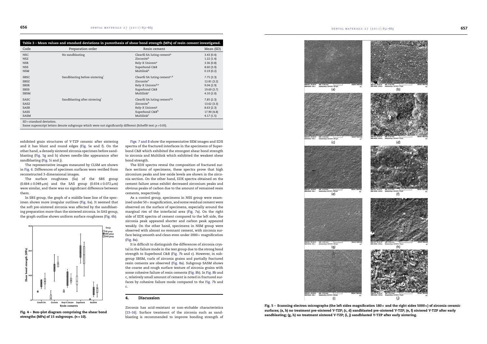| Table 3 - Mean values and standard deviations in parenthesis of shear bond strength (MPa) of resin cement investigated. |                                                                                                            |                                          |            |  |  |
|-------------------------------------------------------------------------------------------------------------------------|------------------------------------------------------------------------------------------------------------|------------------------------------------|------------|--|--|
| Code                                                                                                                    | Preparation order                                                                                          | Resin cement                             | Mean (SD)  |  |  |
| <b>NSC</b>                                                                                                              | No sandblasting                                                                                            | Clearfil SA luting cement <sup>a</sup>   | 3.43(0.4)  |  |  |
| <b>NSZ</b>                                                                                                              |                                                                                                            | Zirconiteb                               | 1.22(1.4)  |  |  |
| <b>NSR</b>                                                                                                              |                                                                                                            | Rely-X Unicem <sup>a</sup>               | 3.36(0.8)  |  |  |
| <b>NSS</b>                                                                                                              |                                                                                                            | Superbond C&B                            | 8.60(3.9)  |  |  |
| <b>NSM</b>                                                                                                              |                                                                                                            | Multilink <sup>b</sup>                   | 0.19(0.2)  |  |  |
| <b>SBSC</b>                                                                                                             | Sandblasting before sintering                                                                              | Clearfil SA luting cement <sup>c,d</sup> | 7.75(3.3)  |  |  |
| <b>SBSZ</b>                                                                                                             |                                                                                                            | Zirconite <sup>e</sup>                   | 12.81(3.2) |  |  |
| <b>SBSR</b>                                                                                                             |                                                                                                            | Rely-X Unicem <sup>d,e</sup>             | 9.04(2.9)  |  |  |
| <b>SBSS</b>                                                                                                             |                                                                                                            | Superbond C&B                            | 19.69(3.7) |  |  |
| <b>SBSM</b>                                                                                                             |                                                                                                            | Multilink <sup>c</sup>                   | 4.10(2.0)  |  |  |
| SASC                                                                                                                    | Sandblasting after sintering                                                                               | Clearfil SA luting cement <sup>f,g</sup> | 7.85(2.3)  |  |  |
| SASZ                                                                                                                    |                                                                                                            | Zirconiteh                               | 13.62(3.3) |  |  |
| SASR                                                                                                                    |                                                                                                            | Rely-X Unicem <sup>g</sup>               | 8.63(2.3)  |  |  |
| SASS                                                                                                                    |                                                                                                            | Superbond C&Bh                           | 17.90(4.8) |  |  |
| SASM                                                                                                                    |                                                                                                            | Multilinkf                               | 4.17(1.5)  |  |  |
| $SD = standard deviation$ .                                                                                             |                                                                                                            |                                          |            |  |  |
|                                                                                                                         | Same superscript letters denote subgroups which were not significantly different (Scheffé test: p > 0.05). |                                          |            |  |  |



Fig. 4 – Box–plot diagram comprising the shear bond strengths (MPa) of 15 subgroups. (*n* = 10).

exhibited grain structures of Y-TZP ceramic after sintering and it has blunt and round edges (Fig. 5e and f). On the other hand, a densely sintered zirconia specimen before sandblasting (Fig. 5g and h) shows needle-like appearance after sandblasting (Fig. 5i and j).

The representative images measured by CLSM are shown in Fig. 6. Differences of specimen surfaces were verified from reconstructed 3-dimensional images.

The surface roughness (Sa) of the SBS group  $(0.664 \pm 0.049 \,\mu m)$  and the SAS group  $(0.654 \pm 0.072 \,\mu m)$ were similar, and there was no significant difference between them.

In SBS group, the graph of a middle base line of the specimen shows more irregular outlines (Fig. 6a). It seemed that the soft pre-sintered zirconia was affected by the sandblasting preparation more than the sintered zirconia. In SAS group, the graph outline shows uniform surface roughness (Fig. 6b).

Figs. 7 and 8 show the representative SEM images and EDX spectra of the fractured interfaces in the specimens of Superbond C&B which exhibited the strongest shear bond strength to zirconia and Multilink which exhibited the weakest shear bond strength.



Fig. 5 – Scanning electron micrographs (the left sides magnification  $180x$  and the right sides 5000 $x$ ) of zirconia ceramic surfaces; (a, b) no treatment pre-sintered Y-TZP; (c, d) sandblasted pre-sintered Y-TZP; (e, f) sintered Y-TZP after early sandblasting; (g, h) no treatment sintered Y-TZP; (i, j) sandblasted Y-TZP after early sintering.



The EDX spectra reveal the composition of fractured surface sections of specimens, these spectra prove that high zirconium peaks and low oxide levels are shown in the zirconia section. On the other hand, EDX spectra obtained on the cement failure areas exhibit decreased zirconium peaks and obvious peaks of carbon due to the amount of remained resin cements, respectively.

As a control group, specimens in NSS group were examined under 50 $\times$  magnification, and some residual cement were observed on the surface of specimens, especially around the marginal rim of the interfacial area (Fig. 7a). On the right side of EDX spectra of cement compared to the left side, the zirconia peak appeared shorter and carbon peak appeared weakly. On the other hand, specimens in NSM group were observed with almost no remnant cement, with zirconia surface being smooth and clean even under  $2000 \times$  magnification (Fig. 8a).

It is difficult to distinguish the differences of zirconia crystal in the failure mode in the test group due to the strong bond strength to Superbond C&B (Fig. 7b and c). However, in subgroup SBSM, curls of zirconia grains and partially fractured resin cements are observed (Fig. 8a). Subgroup SASM shows the coarse and rough surface texture of zirconia grains with some cohesive failure of resin cements (Fig. 8b). In Fig. 8b and c, relatively small amount of cement is noted in fractured surfaces by cohesive failure mode compared to the Fig. 7b and c.

#### 4. Discussion

Zirconia has acid-resistant or non-etchable characteristics [13–16]. Surface treatment of the zirconia such as sandblasting is recommended to improve bonding strength of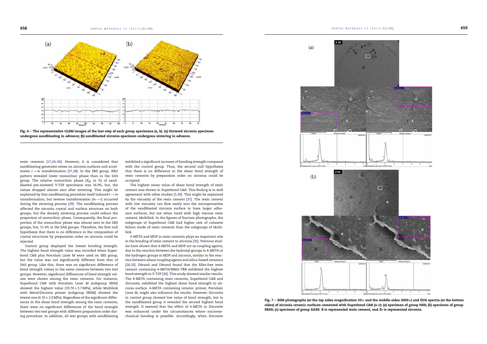

Fig. 6 – The representative CLSM images of the last step of each group specimens (a, b). (a) Sintered zirconia specimen undergone sandblasting in advance; (b) sandblasted zirconia specimen undergone sintering in advance.

resin cements [17,24–26]. However, it is considered that sandblasting generates stress on zirconia surfaces and accelerates *t*→*m* transformation [27,28]. In the SBS group, XRD pattern revealed lower monoclinic phase than in the SAS group. The relative monoclinic phase  $(X_M$  in %) of sandblasted pre-sintered Y-TZP specimens was 16.9%, but, the values dropped almost zero after sintering. This might be explained by that sandblasting procedure itself induced *t*→*m* transformation, but reverse transformation  $(m \rightarrow t)$  occurred during the sintering process [29]. The sandblasting process affected the zirconia crystal and surface structure on both groups, but the densely sintering process could reduce the proportion of monoclinic phase. Consequently, the final proportion of the monoclinic phase was almost zero in the SBS groups, but, 11.4% in the SAS groups. Therefore, the first null hypothesis that there is no difference in the composition of crystal structures by preparation order on zirconia could be rejected.

Control group displayed the lowest bonding strength. The highest bond strength value was recorded when Superbond C&B plus Porcelain Liner M were used on SBS group, but the value was not significantly different from that of SAS group. Like this, there was no significant difference of bond strength values in the same cements between two test groups. However, significant differences of bond strength values were shown among the resin cements. For instance, Superbond C&B with Porcelain Liner M (subgroup SBSS) showed the highest value (19.70 $\pm$ 3.7 MPa), while Multilink with Metal/Zirconia primer (subgroup SBSM) showed the lowest one (4.10  $\pm$  2.0 MPa). Regardless of the significant differences in the shear bond strength among the resin cements, there were no significant differences of the bond strength between two test groups with different preparation order during procedure. In addition, all test groups with sandblasting



Fig.  $7$  – SEM photographs (at the top sides magnification 50 $\times$  and the middle sides 2000 $\times$ ) and EDX spectra (at the bottom sides) of zirconia ceramic surfaces cemented with Superbond C&B (a–c): (a) specimen of group NSS; (b) specimen of group SBSS; (c) specimen of group SASS. R is represented resin cement, and Zr is represented zirconia.

exhibited a significant increase of bonding strength compared with the control group. Thus, the second null hypothesis that there is no difference in the shear bond strength of resin cements by preparation order on zirconia could be accepted.

The highest mean value of shear bond strength of resin cement was shown in Superbond C&B. This finding is in well agreement with other studies [5,30]. This might be explained by the viscosity of the resin cement [31]. The resin cement with low viscosity can flow easily into the microporosities of the sandblasted zirconia surface to have larger adhesion surfaces, but not when luted with high viscous resin cement, Multilink. In the figures of fracture photographs, the subgroups of Superbond C&B had higher rate of cohesive failure mode of resin cements than the subgroups of Multilink.

4-META and MDP in resin cements plays an important role in the bonding of resin cement to zirconia [32]. Previous studies have shown that 4-META and MDP act as coupling agents, due to the reaction between the hydroxyl groups in 4-META or the hydrogen groups in MDP and zirconia, similar to the reaction between silane coupling agents and silica-based ceramics [26,33]. Dérand and Dérand found that the filler-free resin cement containing 4-META/MMA-TBB exhibited the highest bond strength to Y-TZP [30]. This study showed similar results. The 4-META containing resin cements, Superbond C&B and Zirconite, exhibited the highest shear bond strength to zirconia surface. 4-META containing ceramic primer, Porcelain Liner M, might also influence the results. However, Zirconite in control group showed low value of bond strength, but in the sandblasted group it revealed the second highest bond strength. It seemed that the effect of 4-META in Zirconite was enhanced under the circumstances where micromechanical bonding is possible. Accordingly, when Zirconite

**658 dental materials 27 (2011) 651–663** 

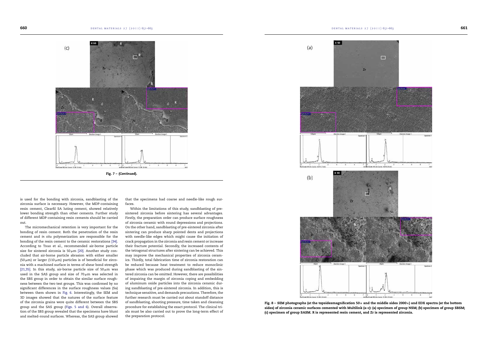DENTAL MATERIALS 27 (2011) 651–663



is used for the bonding with zirconia, sandblasting of the zirconia surface is necessary. However, the MDP-containing resin cement, Clearfil SA luting cement, showed relatively lower bonding strength than other cements. Further study of different MDP-containing resin cements should be carried out.

The micromechanical retention is very important for the bonding of resin cement. Both the penetration of the resin cement and *in situ* polymerization are responsible for the bonding of the resin cement to the ceramic restorations [34]. According to Tsuo et al., recommended air-borne particle size for sintered zirconia is 50 $\mu$ m [20]. Another study concluded that air-borne particle abrasion with either smaller (50  $\mu$ m) or larger (110  $\mu$ m) particles is of beneficial for zirconia with a machined surface in terms of shear bond strength [21,35]. In this study, air-borne particle size of 50  $\mu$ m was used in the SAS group and size of  $70 \mu m$  was selected in the SBS group in order to obtain the similar surface roughness between the two test groups. This was confirmed by no significant differences in the surface roughness values (Sa) between them shown in Fig. 6. Interestingly, the SEM and 3D images showed that the natures of the surface feature of the zirconia grains were quite different between the SBS group and the SAS group (Figs. 5 and 6). Overall observation of the SBS group revealed that the specimens have blunt and melted-round surfaces. Whereas, the SAS group showed

that the specimens had coarse and needle-like rough surfaces.

Within the limitations of this study, sandblasting of presintered zirconia before sintering has several advantages. Firstly, the preparation order can produce surface roughness of zirconia ceramic with round depressions and projections. On the other hand, sandblasting of pre-sintered zirconia after sintering can produce sharp pointed dents and projections with needle-like edges which might cause the initiation of crack propagation in the zirconia and resin cement or increase their fracture potential. Secondly, the increased contents of the tetragonal structures after sintering can be achieved. This may improve the mechanical properties of zirconia ceramics. Thirdly, total fabrication time of zirconia restoration can be reduced because heat treatment to reduce monoclinic phase which was produced during sandblasting of the sintered zirconia can be omitted. However, there are possibilities of impairing the margin of zirconia coping and embedding of aluminum oxide particles into the zirconia ceramic during sandblasting of pre-sintered zirconia. In addition, this is technique sensitive, and demands precautions. Therefore, the further research must be carried out about standoff distance of sandblasting, shooting pressure, time taken and cleansing procedure for establishing the exact protocol. The clinical trials must be also carried out to prove the long-term effect of the preparation protocol.



Fig. 8 – SEM photographs (at the topsidesmagnification 50× and the middle sides 2000×) and EDX spectra (at the bottom sides) of zirconia ceramic surfaces cemented with Multilink (a–c): (a) specimen of group NSM; (b) specimen of group SBSM; (c) specimen of group SASM. R is represented resin cement, and Zr is represented zirconia.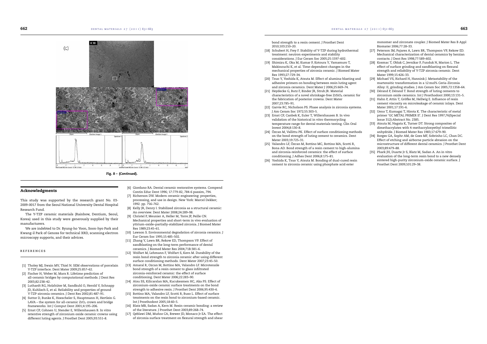

Fig. 8 – (*Continued*).

#### Acknowledgments

This study was supported by the research grant No. 03- 2009-0017 from the Seoul National University Dental Hospital Research Fund.

The Y-TZP ceramic materials (Rainbow, Dentium, Seoul, Korea) used in this study were generously supplied by their manufacturers.

We are indebted to Dr. Byung-ho Yoon, Soon-hyo Park and Kwang-il Park of Genoss for technical XRD, scanning electron microscopy supports, and their advices.

#### **REFERENCES**

- [1] Tholey MJ, Swain MV, Thiel N. SEM observations of porcelain Y-TZP interface. Dent Mater 2009;25:857–62.
- [2] Fischer H, Weber M, Marx R. Lifetime prediction of all-ceramic bridges by computational methods. J Dent Res 2003;82:238–42.
- [3] Luthardt RG, Holzhüter M, Sandkuhl O, Herold V, Schnapp JD, Kuhlisch E, et al. Reliability and properties of ground Y-TZP-zirconia ceramics. J Dent Res 2002;81:487–91.
- [4] Suttor D, Bunke K, Hoescheler S, Hauptmann H, Hertlein G. LAVA – the system for all-ceramic  $ZrO<sub>2</sub>$  crown and bridge frameworks. Int J Comput Dent 2001;4:195–206.
- [5] Ernst CP, Cohnen U, Stender E, Willershausen B. In vitro retentive strength of zirconium oxide ceramic crowns using different luting agents. J Prosthet Dent 2005;93:551–8.
- [6] Giordano RA. Dental ceramic restorative systems. Compend Contin Educ Dent 1996; 17:779-82, 784-6 passim, 794.
- [7] Richerson DW. Modern ceramic engineering: properties, processing, and use in design. New York: Marcel Dekker; 1992. pp. 756–762.
- [8] Kelly JR, Denry I. Stabilized zirconia as a structural ceramic: An overview. Dent Mater 2008;24:289–98.
- [9] Christel P, Meunier A, Heller M, Torre JP, Peille CN. Mechanical properties and short-term in vivo evaluation of yttrium-oxide–partially-stabilized zirconia. J Biomed Mater Res 1989;23:45–61.
- [10] Lawson S. Environmental degradation of zirconia ceramics. J Eur Ceram Soc 1995;15:485–502.
- [11] Zhang Y, Lawn BR, Rekow ED, Thompson VP. Effect of sandblasting on the long-term performance of dental ceramics. J Biomed Mater Res 2004;71B:381–6.
- [12] Wolfart M, Lehmann F, Wolfart S, Kern M. Durability of the resin bond strength to zirconia ceramic after using different surface conditioning methods. Dent Mater 2007;23:45–50.
- [13] Amaral R, Ozcan M, Bottino MA, Valandro LF. Microtensile bond strength of a resin cement to glass infiltrated zirconia-reinforced ceramic: the effect of surface conditioning. Dent Mater 2006;22:283–90.
- [14] Atsu SS, Kilicarslan MA, Kucukesmen HC, Aka PS. Effect of zirconium-oxide ceramic surface treatments on the bond strength to adhesive resin. J Prosthet Dent 2006;95:430–6.
- [15] Bottino MA, Valandro LF, Scotti R, Buso L, Effect of surface treatments on the resin bond to zirconium-based ceramic. Int J Prosthodont 2005;18:60–5.
- [16] Blatz MB, Sadan A, Kern M. Resin-ceramic bonding: a review of the literature. J Prosthet Dent 2003;89:268–74.
- [17] Qeblawi DM, Muñoz CA, Brewer JD, Monaco Jr EA. The effect of zirconia surface treatment on flexural strength and shear
- bond strength to a resin cement. J Prosthet Dent 2010;103:210–20.
- [18] Schubert H, Frey F. Stability of Y-TZP during hydrothermal treatment: neutron experiments and stability considerations. J Eur Ceram Soc 2005;25:1597–602.
- [19] Shimizu K, Oka M, Kumar P, Kotoura Y, Yamamuro T, Makinouchi K, et al. Time-dependent changes in the mechanical properties of zirconia ceramic. J Biomed Mater Res 1993;27:729–34.
- [20] Tsuo Y, Yoshida K, Atsuta M. Effect of alumina-blasting and adhesive primers on bonding between resin luting agent and zirconia ceramics. Dent Mater J 2006;25:669–74.
- [21] Heydecke G, Butz F, Binder JR, Strub JR. Material characteristics of a novel shrinkage-free ZrSiO<sub>4</sub> ceramic for
- the fabrication of posterior crowns. Dent Mater 2007;23:785–91.
- [22] Garvie RC, Nicholson PS. Phase analysis in zirconia systems. J Am Ceram Soc 1972;55:303–5.
- [23] Ernst CP, Canbek K, Euler T, Willershausen B. In vivo validation of the historical in vitro thermocycling temperature range for dental materials testing. Clin Oral Invest 2004;8:130–8.
- [24] Özcan M, Vallittu PK. Effect of surface conditioning methods on the bond strength of luting cement to ceramics. Dent Mater 2003;19:725–31.
- [25] Valandro LF, Özcan M, Bottino MC, Bottino MA, Scotti R, Bona AD. Bond strength of a resin cement to high-alumina and zirconia-reinforced ceramics: the effect of surface conditioning. J Adhes Dent 2006;8:175–81.
- [26] Yoshida K, Tsuo Y, Atsuta M. Bonding of dual-cured resin cement to zirconia ceramic using phosphate acid ester

monomer and zirconate coupler. J Biomed Mater Res B Appl Biomater 2006;77:28–33.

- [27] Peterson IM, Pajares A, Lawn BR, Thompson VP, Rekow ED. Mechanical characterization of dental ceramics by herzian contacts. J Dent Res 1998;77:589–602.
- [28] Kosmac T, Oblak C, Jevnikar P, Funduk N, Marion L. The effect of surface grinding and sandblasting on flexural strength and reliability of Y-TZP zirconia ceramic. Dent Mater 1999;15:426–33.
- [29] Michael VS, Richard H, Hannink J. Metastability of the martensitic transformation in a 12 mol% Ceria-Zirconia Alloy: II, grinding studies. J Am Ceram Soc 2005;72:1358–64.
- [30] Dérand P, Dérand T. Bond strength of luting cements to zirconium oxide ceramics. Int J Prosthodont 2000;13:131–5.
- [31] Hahn P, Attin T, Gröfke M, Hellwig E. Influence of resin cement viscosity on microleakage of ceramic inlays. Dent Mater 2001;17:191–6.
- [32] Ueno T, Kumagai T, Hirota K. The characteristic of metal primer 'GC METAL PRIMER II'. J Dent Res 1997;76(Special Issue 312):Abstract No. 2385.
- [33] Atsuta M, Nagata K, Turner DT. Strong composites of dimethacrylates with 4-methacryloxyethyl trimellitic anhydride. J Biomed Mater Res 1983;17:679–90.
- [34] Borges GA, Sophr AM, de Goes MF, Sobrinho LC, Chan DC. Effect of etching and airborne particle abrasion on the microstructure of different dental ceramics. J Prosthet Dent 2003;89:479–88.
- [35] Phark JH, Duarte Jr S, Blatz M, Sadan A. An in vitro evaluation of the long-term resin bond to a new densely sintered high-purity zirconium-oxide ceramic surface. J Prosthet Dent 2009;101:29–38.